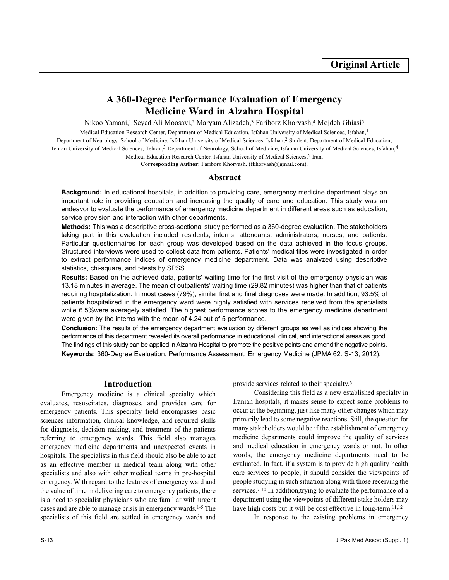# **A 360-Degree Performance Evaluation of Emergency Medicine Ward in Alzahra Hospital**

Nikoo Yamani,<sup>1</sup> Seyed Ali Moosavi,<sup>2</sup> Maryam Alizadeh,<sup>3</sup> Fariborz Khorvash,<sup>4</sup> Mojdeh Ghiasi<sup>5</sup>

Medical Education Research Center, Department of Medical Education, Isfahan University of Medical Sciences, Isfahan,1 Department of Neurology, School of Medicine, Isfahan University of Medical Sciences, Isfahan,<sup>2</sup> Student, Department of Medical Education, Tehran University of Medical Sciences, Tehran,<sup>3</sup> Department of Neurology, School of Medicine, Isfahan University of Medical Sciences, Isfahan,<sup>4</sup> Medical Education Research Center, Isfahan University of Medical Sciences,<sup>5</sup> Iran.

**Corresponding Author:** Fariborz Khorvash. (fkhorvash@gmail.com).

## **Abstract**

**Background:** In educational hospitals, in addition to providing care, emergency medicine department plays an important role in providing education and increasing the quality of care and education. This study was an endeavor to evaluate the performance of emergency medicine department in different areas such as education, service provision and interaction with other departments.

**Methods:** This was a descriptive cross-sectional study performed as a 360-degree evaluation. The stakeholders taking part in this evaluation included residents, interns, attendants, administrators, nurses, and patients. Particular questionnaires for each group was developed based on the data achieved in the focus groups. Structured interviews were used to collect data from patients. Patients' medical files were investigated in order to extract performance indices of emergency medicine department. Data was analyzed using descriptive statistics, chi-square, and t-tests by SPSS.

**Results:** Based on the achieved data, patients' waiting time for the first visit of the emergency physician was 13.18 minutes in average. The mean of outpatients' waiting time (29.82 minutes) was higher than that of patients requiring hospitalization. In most cases (79%), similar first and final diagnoses were made. In addition, 93.5% of patients hospitalized in the emergency ward were highly satisfied with services received from the specialists while 6.5%were averagely satisfied. The highest performance scores to the emergency medicine department were given by the interns with the mean of 4.24 out of 5 performance.

**Conclusion:** The results of the emergency department evaluation by different groups as well as indices showing the performance of this department revealed its overall performance in educational, clinical, and interactional areas as good. The findings of this study can be applied in Alzahra Hospital to promote the positive points and amend the negative points. **Keywords:** 360-Degree Evaluation, Performance Assessment, Emergency Medicine (JPMA 62: S-13; 2012).

## **Introduction**

Emergency medicine is a clinical specialty which evaluates, resuscitates, diagnoses, and provides care for emergency patients. This specialty field encompasses basic sciences information, clinical knowledge, and required skills for diagnosis, decision making, and treatment of the patients referring to emergency wards. This field also manages emergency medicine departments and unexpected events in hospitals. The specialists in this field should also be able to act as an effective member in medical team along with other specialists and also with other medical teams in pre-hospital emergency. With regard to the features of emergency ward and the value of time in delivering care to emergency patients, there is a need to specialist physicians who are familiar with urgent cases and are able to manage crisis in emergency wards.1-5 The specialists of this field are settled in emergency wards and provide services related to their specialty.<sup>6</sup>

Considering this field as a new established specialty in Iranian hospitals, it makes sense to expect some problems to occur at the beginning, just like many other changes which may primarily lead to some negative reactions. Still, the question for many stakeholders would be if the establishment of emergency medicine departments could improve the quality of services and medical education in emergency wards or not. In other words, the emergency medicine departments need to be evaluated. In fact, if a system is to provide high quality health care services to people, it should consider the viewpoints of people studying in such situation along with those receiving the services.<sup>7-10</sup> In addition,trying to evaluate the performance of a department using the viewpoints of different stake holders may have high costs but it will be cost effective in long-term.<sup>11,12</sup>

In response to the existing problems in emergency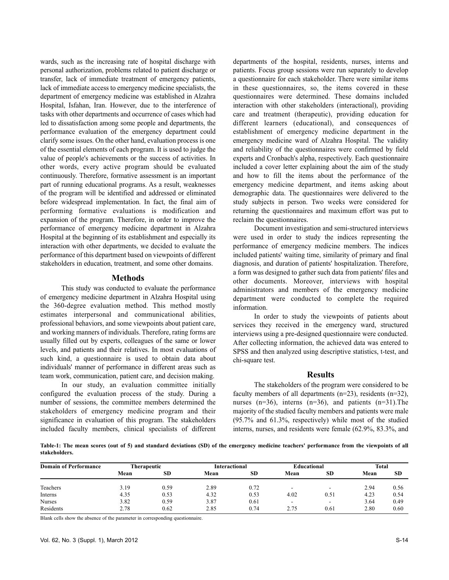wards, such as the increasing rate of hospital discharge with personal authorization, problems related to patient discharge or transfer, lack of immediate treatment of emergency patients, lack of immediate access to emergency medicine specialists, the department of emergency medicine was established in Alzahra Hospital, Isfahan, Iran. However, due to the interference of tasks with other departments and occurrence of cases which had led to dissatisfaction among some people and departments, the performance evaluation of the emergency department could clarify some issues. On the other hand, evaluation process is one of the essential elements of each program. It is used to judge the value of people's achievements or the success of activities. In other words, every active program should be evaluated continuously. Therefore, formative assessment is an important part of running educational programs. As a result, weaknesses of the program will be identified and addressed or eliminated before widespread implementation. In fact, the final aim of performing formative evaluations is modification and expansion of the program. Therefore, in order to improve the performance of emergency medicine department in Alzahra Hospital at the beginning of its establishment and especially its interaction with other departments, we decided to evaluate the performance of this department based on viewpoints of different stakeholders in education, treatment, and some other domains.

### **Methods**

This study was conducted to evaluate the performance of emergency medicine department in Alzahra Hospital using the 360-degree evaluation method. This method mostly estimates interpersonal and communicational abilities, professional behaviors, and some viewpoints about patient care, and working manners of individuals. Therefore, rating forms are usually filled out by experts, colleagues of the same or lower levels, and patients and their relatives. In most evaluations of such kind, a questionnaire is used to obtain data about individuals' manner of performance in different areas such as team work, communication, patient care, and decision making.

In our study, an evaluation committee initially configured the evaluation process of the study. During a number of sessions, the committee members determined the stakeholders of emergency medicine program and their significance in evaluation of this program. The stakeholders included faculty members, clinical specialists of different

departments of the hospital, residents, nurses, interns and patients. Focus group sessions were run separately to develop a questionnaire for each stakeholder. There were similar items in these questionnaires, so, the items covered in these questionnaires were determined. These domains included interaction with other stakeholders (interactional), providing care and treatment (therapeutic), providing education for different learners (educational), and consequences of establishment of emergency medicine department in the emergency medicine ward of Alzahra Hospital. The validity and reliability of the questionnaires were confirmed by field experts and Cronbach's alpha, respectively. Each questionnaire included a cover letter explaining about the aim of the study and how to fill the items about the performance of the emergency medicine department, and items asking about demographic data. The questionnaires were delivered to the study subjects in person. Two weeks were considered for returning the questionnaires and maximum effort was put to reclaim the questionnaires.

Document investigation and semi-structured interviews were used in order to study the indices representing the performance of emergency medicine members. The indices included patients' waiting time, similarity of primary and final diagnosis, and duration of patients' hospitalization. Therefore, a form was designed to gather such data from patients' files and other documents. Moreover, interviews with hospital administrators and members of the emergency medicine department were conducted to complete the required information.

In order to study the viewpoints of patients about services they received in the emergency ward, structured interviews using a pre-designed questionnaire were conducted. After collecting information, the achieved data was entered to SPSS and then analyzed using descriptive statistics, t-test, and chi-square test.

# **Results**

The stakeholders of the program were considered to be faculty members of all departments  $(n=23)$ , residents  $(n=32)$ , nurses  $(n=36)$ , interns  $(n=36)$ , and patients  $(n=31)$ . The majority of the studied faculty members and patients were male (95.7% and 61.3%, respectively) while most of the studied interns, nurses, and residents were female (62.9%, 83.3%, and

**Table-1: The mean scores (out of 5) and standard deviations (SD) of the emergency medicine teachers' performance from the viewpoints of all stakeholders.**

| <b>Domain of Performance</b> | <b>Therapeutic</b> |           | Interactional |           | Educational              |           | <b>Total</b> |           |
|------------------------------|--------------------|-----------|---------------|-----------|--------------------------|-----------|--------------|-----------|
|                              | Mean               | <b>SD</b> | Mean          | <b>SD</b> | Mean                     | <b>SD</b> | Mean         | <b>SD</b> |
| Teachers                     | 3.19               | 0.59      | 2.89          | 0.72      | -                        | -         | 2.94         | 0.56      |
| Interns                      | 4.35               | 0.53      | 4.32          | 0.53      | 4.02                     | 0.51      | 4.23         | 0.54      |
| <b>Nurses</b>                | 3.82               | 0.59      | 3.87          | 0.61      | $\overline{\phantom{a}}$ | -         | 3.64         | 0.49      |
| Residents                    | 2.78               | 0.62      | 2.85          | 0.74      | 2.75                     | 0.61      | 2.80         | 0.60      |

Blank cells show the absence of the parameter in corresponding questionnaire.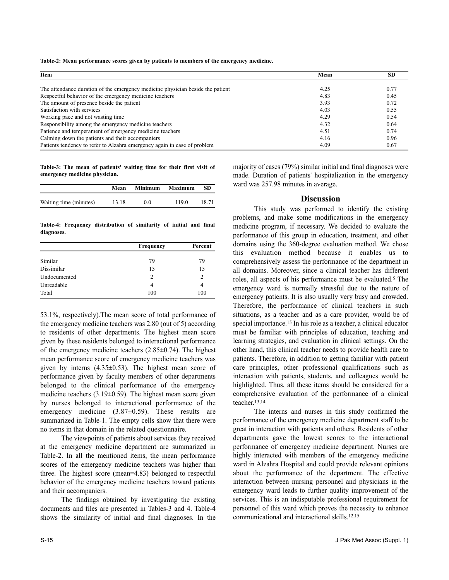**Table-2: Mean performance scores given by patients to members of the emergency medicine.**

| Item                                                                           | Mean | SD.  |  |
|--------------------------------------------------------------------------------|------|------|--|
| The attendance duration of the emergency medicine physician beside the patient | 4.25 | 0.77 |  |
| Respectful behavior of the emergency medicine teachers                         | 4.83 | 0.45 |  |
| The amount of presence beside the patient                                      | 3.93 | 0.72 |  |
| Satisfaction with services                                                     | 4.03 | 0.55 |  |
| Working pace and not wasting time.                                             | 4.29 | 0.54 |  |
| Responsibility among the emergency medicine teachers                           | 4.32 | 0.64 |  |
| Patience and temperament of emergency medicine teachers                        | 4.51 | 0.74 |  |
| Calming down the patients and their accompaniers                               | 4.16 | 0.96 |  |
| Patients tendency to refer to Alzahra emergency again in case of problem       | 4.09 | 0.67 |  |

**Table-3: The mean of patients' waiting time for their first visit of emergency medicine physician.**

|                        | Mean  | <b>Minimum</b> | Maximum | SD    |
|------------------------|-------|----------------|---------|-------|
| Waiting time (minutes) | 13.18 | 0.0            | 1190    | 18.71 |

**Table-4: Frequency distribution of similarity of initial and final diagnoses.**

|              | <b>Frequency</b> | Percent        |
|--------------|------------------|----------------|
| Similar      | 79               | 79             |
| Dissimilar   | 15               | 15             |
| Undocumented | 2                | $\overline{c}$ |
| Unreadable   | 4                | 4              |
| Total        | 100              | 100            |

53.1%, respectively).The mean score of total performance of the emergency medicine teachers was 2.80 (out of 5) according to residents of other departments. The highest mean score given by these residents belonged to interactional performance of the emergency medicine teachers  $(2.85\pm0.74)$ . The highest mean performance score of emergency medicine teachers was given by interns  $(4.35\pm0.53)$ . The highest mean score of performance given by faculty members of other departments belonged to the clinical performance of the emergency medicine teachers (3.19±0.59). The highest mean score given by nurses belonged to interactional performance of the emergency medicine (3.87 $\pm$ 0.59). These results are summarized in Table-1. The empty cells show that there were no items in that domain in the related questionnaire.

The viewpoints of patients about services they received at the emergency medicine department are summarized in Table-2. In all the mentioned items, the mean performance scores of the emergency medicine teachers was higher than three. The highest score (mean=4.83) belonged to respectful behavior of the emergency medicine teachers toward patients and their accompaniers.

The findings obtained by investigating the existing documents and files are presented in Tables-3 and 4. Table-4 shows the similarity of initial and final diagnoses. In the majority of cases (79%) similar initial and final diagnoses were made. Duration of patients' hospitalization in the emergency ward was 257.98 minutes in average.

## **Discussion**

This study was performed to identify the existing problems, and make some modifications in the emergency medicine program, if necessary. We decided to evaluate the performance of this group in education, treatment, and other domains using the 360-degree evaluation method. We chose this evaluation method because it enables us to comprehensively assess the performance of the department in all domains. Moreover, since a clinical teacher has different roles, all aspects of his performance must be evaluated.<sup>5</sup> The emergency ward is normally stressful due to the nature of emergency patients. It is also usually very busy and crowded. Therefore, the performance of clinical teachers in such situations, as a teacher and as a care provider, would be of special importance.<sup>15</sup> In his role as a teacher, a clinical educator must be familiar with principles of education, teaching and learning strategies, and evaluation in clinical settings. On the other hand, this clinical teacher needs to provide health care to patients. Therefore, in addition to getting familiar with patient care principles, other professional qualifications such as interaction with patients, students, and colleagues would be highlighted. Thus, all these items should be considered for a comprehensive evaluation of the performance of a clinical teacher.13,14

The interns and nurses in this study confirmed the performance of the emergency medicine department staff to be great in interaction with patients and others. Residents of other departments gave the lowest scores to the interactional performance of emergency medicine department. Nurses are highly interacted with members of the emergency medicine ward in Alzahra Hospital and could provide relevant opinions about the performance of the department. The effective interaction between nursing personnel and physicians in the emergency ward leads to further quality improvement of the services. This is an indisputable professional requirement for personnel of this ward which proves the necessity to enhance communicational and interactional skills.12,15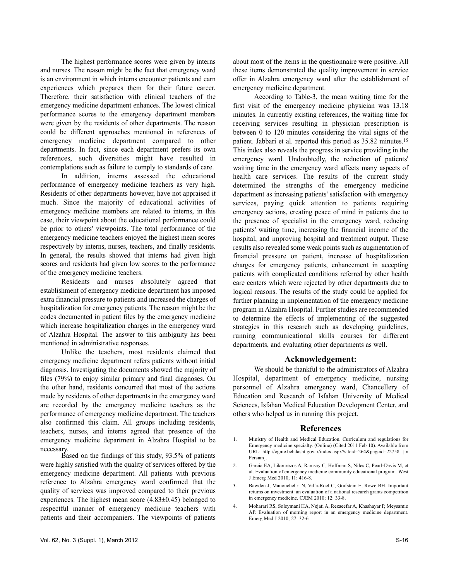The highest performance scores were given by interns and nurses. The reason might be the fact that emergency ward is an environment in which interns encounter patients and earn experiences which prepares them for their future career. Therefore, their satisfaction with clinical teachers of the emergency medicine department enhances. The lowest clinical performance scores to the emergency department members were given by the residents of other departments. The reason could be different approaches mentioned in references of emergency medicine department compared to other departments. In fact, since each department prefers its own references, such diversities might have resulted in contemplations such as failure to comply to standards of care.

In addition, interns assessed the educational performance of emergency medicine teachers as very high. Residents of other departments however, have not appraised it much. Since the majority of educational activities of emergency medicine members are related to interns, in this case, their viewpoint about the educational performance could be prior to others' viewpoints. The total performance of the emergency medicine teachers enjoyed the highest mean scores respectively by interns, nurses, teachers, and finally residents. In general, the results showed that interns had given high scores and residents had given low scores to the performance of the emergency medicine teachers.

Residents and nurses absolutely agreed that establishment of emergency medicine department has imposed extra financial pressure to patients and increased the charges of hospitalization for emergency patients. The reason might be the codes documented in patient files by the emergency medicine which increase hospitalization charges in the emergency ward of Alzahra Hospital. The answer to this ambiguity has been mentioned in administrative responses.

Unlike the teachers, most residents claimed that emergency medicine department refers patients without initial diagnosis. Investigating the documents showed the majority of files (79%) to enjoy similar primary and final diagnoses. On the other hand, residents concurred that most of the actions made by residents of other departments in the emergency ward are recorded by the emergency medicine teachers as the performance of emergency medicine department. The teachers also confirmed this claim. All groups including residents, teachers, nurses, and interns agreed that presence of the emergency medicine department in Alzahra Hospital to be necessary.

Based on the findings of this study, 93.5% of patients were highly satisfied with the quality of services offered by the emergency medicine department. All patients with previous reference to Alzahra emergency ward confirmed that the quality of services was improved compared to their previous experiences. The highest mean score (4.83±0.45) belonged to respectful manner of emergency medicine teachers with patients and their accompaniers. The viewpoints of patients

about most of the items in the questionnaire were positive. All these items demonstrated the quality improvement in service offer in Alzahra emergency ward after the establishment of emergency medicine department.

According to Table-3, the mean waiting time for the first visit of the emergency medicine physician was 13.18 minutes. In currently existing references, the waiting time for receiving services resulting in physician prescription is between 0 to 120 minutes considering the vital signs of the patient. Jabbari et al. reported this period as 35.82 minutes.<sup>15</sup> This index also reveals the progress in service providing in the emergency ward. Undoubtedly, the reduction of patients' waiting time in the emergency ward affects many aspects of health care services. The results of the current study determined the strengths of the emergency medicine department as increasing patients' satisfaction with emergency services, paying quick attention to patients requiring emergency actions, creating peace of mind in patients due to the presence of specialist in the emergency ward, reducing patients' waiting time, increasing the financial income of the hospital, and improving hospital and treatment output. These results also revealed some weak points such as augmentation of financial pressure on patient, increase of hospitalization charges for emergency patients, enhancement in accepting patients with complicated conditions referred by other health care centers which were rejected by other departments due to logical reasons. The results of the study could be applied for further planning in implementation of the emergency medicine program in Alzahra Hospital. Further studies are recommended to determine the effects of implementing of the suggested strategies in this research such as developing guidelines, running communicational skills courses for different departments, and evaluating other departments as well.

## **Acknowledgement:**

We should be thankful to the administrators of Alzahra Hospital, department of emergency medicine, nursing personnel of Alzahra emergency ward, Chancellery of Education and Research of Isfahan University of Medical Sciences, Isfahan Medical Education Development Center, and others who helped us in running this project.

#### **References**

- 1. Ministry of Health and Medical Education. Curriculum and regulations for Emergency medicine specialty. (Online) (Cited 2011 Feb 10). Available from URL: http://cgme.behdasht.gov.ir/index.aspx?siteid=264&pageid=22758. [in Persian].
- 2. Garcia EA, Likourezos A, Ramsay C, Hoffman S, Niles C, Pearl-Davis M, et al. Evaluation of emergency medicine community educational program. West J Emerg Med 2010; 11: 416-8.
- 3. Bawden J, Manouchehri N, Villa-Roel C, Grafstein E, Rowe BH. Important returns on investment: an evaluation of a national research grants competition in emergency medicine. CJEM 2010; 12: 33-8.
- 4. Moharari RS, Soleymani HA, Nejati A, Rezaeefar A, Khashayar P, Meysamie AP. Evaluation of morning report in an emergency medicine department. Emerg Med J 2010; 27: 32-6.